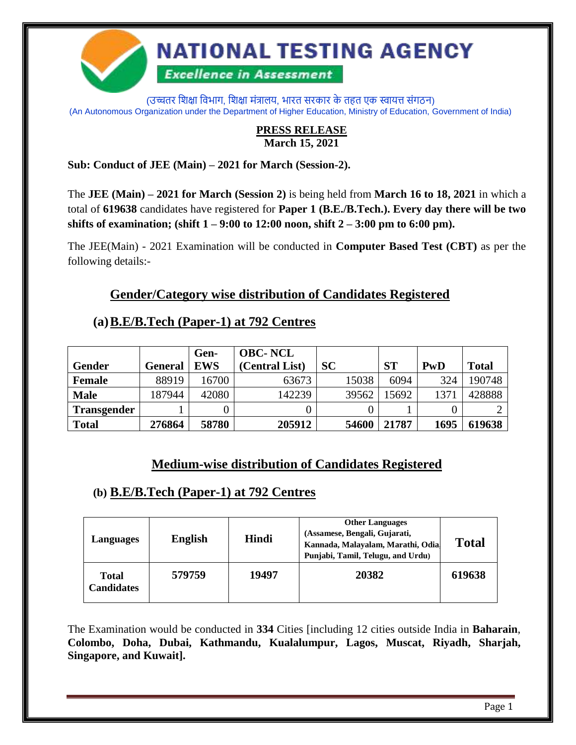

# **NATIONAL TESTING AGENCY**

**Excellence in Assessment** 

(उच्चतर शिक्षा विभाग, शिक्षा मंत्रालय, भारत सरकार के तहत एक स्वायत्त संगठन) (An Autonomous Organization under the Department of Higher Education, Ministry of Education, Government of India)

#### **PRESS RELEASE March 15, 2021**

**Sub: Conduct of JEE (Main) – 2021 for March (Session-2).**

The **JEE (Main) – 2021 for March (Session 2)** is being held from **March 16 to 18, 2021** in which a total of **619638** candidates have registered for **Paper 1 (B.E./B.Tech.). Every day there will be two shifts of examination; (shift 1 – 9:00 to 12:00 noon, shift 2 – 3:00 pm to 6:00 pm).**

The JEE(Main) - 2021 Examination will be conducted in **Computer Based Test (CBT)** as per the following details:-

## **Gender/Category wise distribution of Candidates Registered**

### **(a)B.E/B.Tech (Paper-1) at 792 Centres**

|                    |                | Gen-       | <b>OBC-NCL</b> |           |       |           |      |              |
|--------------------|----------------|------------|----------------|-----------|-------|-----------|------|--------------|
| Gender             | <b>General</b> | <b>EWS</b> | (Central List) | <b>SC</b> |       | <b>ST</b> | PwD  | <b>Total</b> |
| <b>Female</b>      | 88919          | 16700      | 63673          |           | 15038 | 6094      | 324  | 190748       |
| <b>Male</b>        | 187944         | 42080      | 142239         |           | 39562 | 5692      | 137  | 428888       |
| <b>Transgender</b> |                |            |                |           |       |           |      |              |
| <b>Total</b>       | 276864         | 58780      | 205912         |           | 54600 | 21787     | 1695 | 619638       |

### **Medium-wise distribution of Candidates Registered**

### **(b) B.E/B.Tech (Paper-1) at 792 Centres**

| Languages           | <b>English</b> | Hindi | <b>Other Languages</b><br>(Assamese, Bengali, Gujarati,<br>Kannada, Malayalam, Marathi, Odia<br>Punjabi, Tamil, Telugu, and Urdu) | <b>Total</b> |
|---------------------|----------------|-------|-----------------------------------------------------------------------------------------------------------------------------------|--------------|
| Total<br>Candidates | 579759         | 19497 | 20382                                                                                                                             | 619638       |

The Examination would be conducted in **334** Cities [including 12 cities outside India in **Baharain**, **Colombo, Doha, Dubai, Kathmandu, Kualalumpur, Lagos, Muscat, Riyadh, Sharjah, Singapore, and Kuwait].**